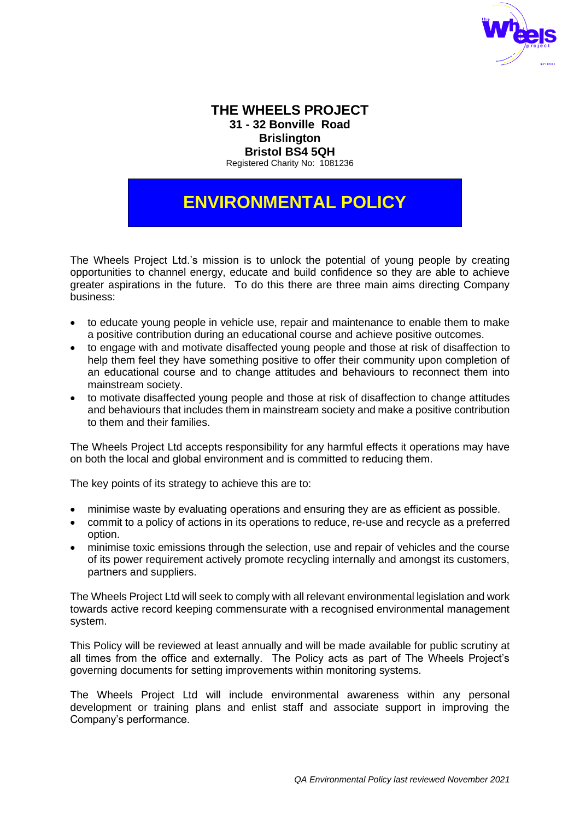

# **THE WHEELS PROJECT 31 - 32 Bonville Road Brislington Bristol BS4 5QH**

Registered Charity No: 1081236

# **ENVIRONMENTAL POLICY**

The Wheels Project Ltd.'s mission is to unlock the potential of young people by creating opportunities to channel energy, educate and build confidence so they are able to achieve greater aspirations in the future. To do this there are three main aims directing Company business:

- to educate young people in vehicle use, repair and maintenance to enable them to make a positive contribution during an educational course and achieve positive outcomes.
- to engage with and motivate disaffected young people and those at risk of disaffection to help them feel they have something positive to offer their community upon completion of an educational course and to change attitudes and behaviours to reconnect them into mainstream society.
- to motivate disaffected young people and those at risk of disaffection to change attitudes and behaviours that includes them in mainstream society and make a positive contribution to them and their families.

The Wheels Project Ltd accepts responsibility for any harmful effects it operations may have on both the local and global environment and is committed to reducing them.

The key points of its strategy to achieve this are to:

- minimise waste by evaluating operations and ensuring they are as efficient as possible.
- commit to a policy of actions in its operations to reduce, re-use and recycle as a preferred option.
- minimise toxic emissions through the selection, use and repair of vehicles and the course of its power requirement actively promote recycling internally and amongst its customers, partners and suppliers.

The Wheels Project Ltd will seek to comply with all relevant environmental legislation and work towards active record keeping commensurate with a recognised environmental management system.

This Policy will be reviewed at least annually and will be made available for public scrutiny at all times from the office and externally. The Policy acts as part of The Wheels Project's governing documents for setting improvements within monitoring systems.

The Wheels Project Ltd will include environmental awareness within any personal development or training plans and enlist staff and associate support in improving the Company's performance.